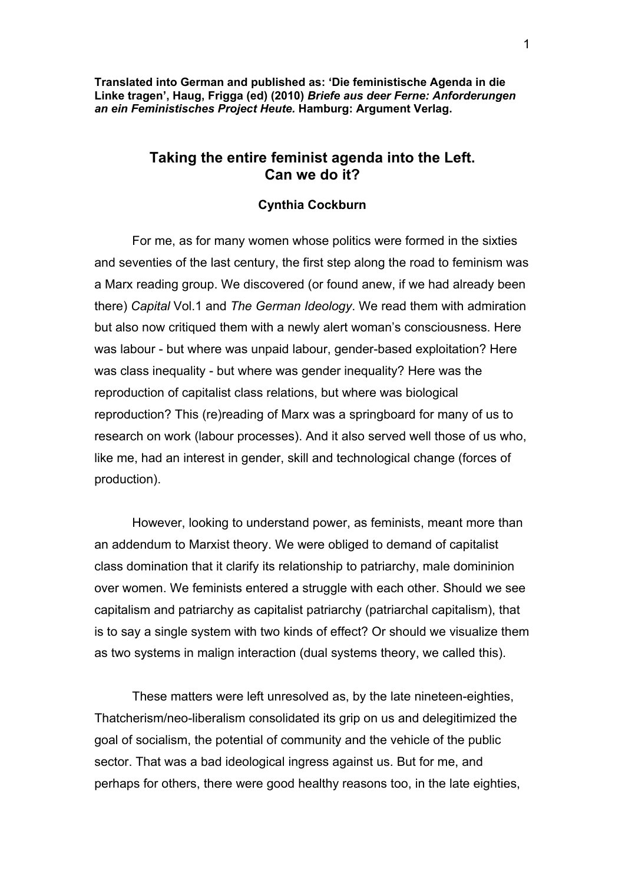**Translated into German and published as: 'Die feministische Agenda in die Linke tragen', Haug, Frigga (ed) (2010)** *Briefe aus deer Ferne: Anforderungen an ein Feministisches Project Heute.* **Hamburg: Argument Verlag.** 

## **Taking the entire feminist agenda into the Left. Can we do it?**

## **Cynthia Cockburn**

For me, as for many women whose politics were formed in the sixties and seventies of the last century, the first step along the road to feminism was a Marx reading group. We discovered (or found anew, if we had already been there) *Capital* Vol.1 and *The German Ideology*. We read them with admiration but also now critiqued them with a newly alert woman's consciousness. Here was labour - but where was unpaid labour, gender-based exploitation? Here was class inequality - but where was gender inequality? Here was the reproduction of capitalist class relations, but where was biological reproduction? This (re)reading of Marx was a springboard for many of us to research on work (labour processes). And it also served well those of us who, like me, had an interest in gender, skill and technological change (forces of production).

However, looking to understand power, as feminists, meant more than an addendum to Marxist theory. We were obliged to demand of capitalist class domination that it clarify its relationship to patriarchy, male domininion over women. We feminists entered a struggle with each other. Should we see capitalism and patriarchy as capitalist patriarchy (patriarchal capitalism), that is to say a single system with two kinds of effect? Or should we visualize them as two systems in malign interaction (dual systems theory, we called this).

These matters were left unresolved as, by the late nineteen-eighties, Thatcherism/neo-liberalism consolidated its grip on us and delegitimized the goal of socialism, the potential of community and the vehicle of the public sector. That was a bad ideological ingress against us. But for me, and perhaps for others, there were good healthy reasons too, in the late eighties,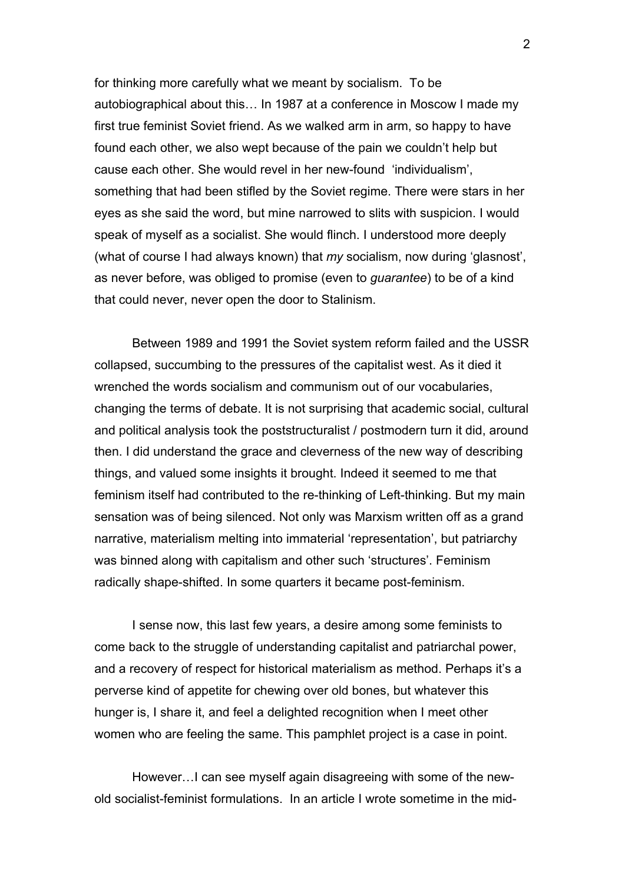for thinking more carefully what we meant by socialism. To be autobiographical about this… In 1987 at a conference in Moscow I made my first true feminist Soviet friend. As we walked arm in arm, so happy to have found each other, we also wept because of the pain we couldn't help but cause each other. She would revel in her new-found 'individualism', something that had been stifled by the Soviet regime. There were stars in her eyes as she said the word, but mine narrowed to slits with suspicion. I would speak of myself as a socialist. She would flinch. I understood more deeply (what of course I had always known) that *my* socialism, now during 'glasnost', as never before, was obliged to promise (even to *guarantee*) to be of a kind that could never, never open the door to Stalinism.

Between 1989 and 1991 the Soviet system reform failed and the USSR collapsed, succumbing to the pressures of the capitalist west. As it died it wrenched the words socialism and communism out of our vocabularies, changing the terms of debate. It is not surprising that academic social, cultural and political analysis took the poststructuralist / postmodern turn it did, around then. I did understand the grace and cleverness of the new way of describing things, and valued some insights it brought. Indeed it seemed to me that feminism itself had contributed to the re-thinking of Left-thinking. But my main sensation was of being silenced. Not only was Marxism written off as a grand narrative, materialism melting into immaterial 'representation', but patriarchy was binned along with capitalism and other such 'structures'. Feminism radically shape-shifted. In some quarters it became post-feminism.

I sense now, this last few years, a desire among some feminists to come back to the struggle of understanding capitalist and patriarchal power, and a recovery of respect for historical materialism as method. Perhaps it's a perverse kind of appetite for chewing over old bones, but whatever this hunger is, I share it, and feel a delighted recognition when I meet other women who are feeling the same. This pamphlet project is a case in point.

However…I can see myself again disagreeing with some of the newold socialist-feminist formulations. In an article I wrote sometime in the mid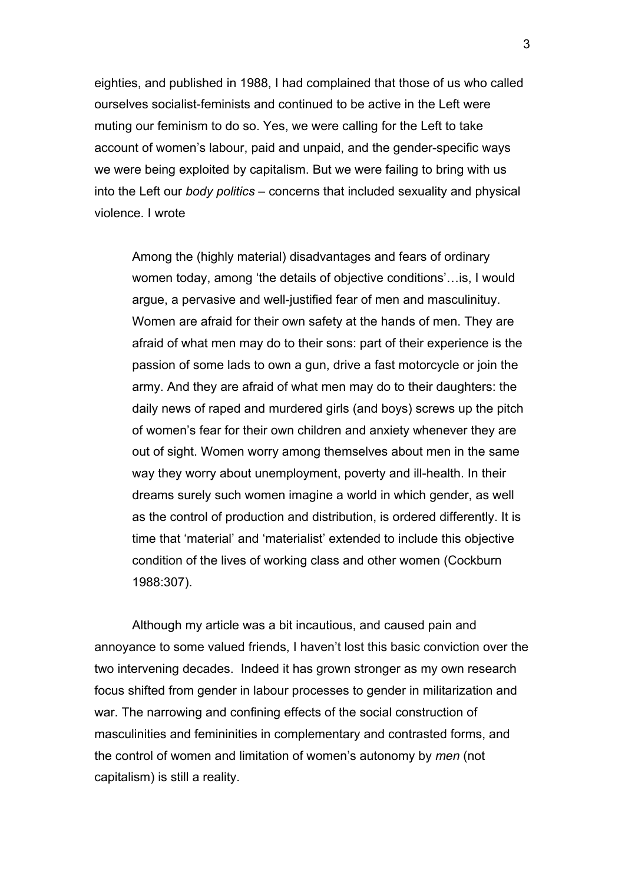eighties, and published in 1988, I had complained that those of us who called ourselves socialist-feminists and continued to be active in the Left were muting our feminism to do so. Yes, we were calling for the Left to take account of women's labour, paid and unpaid, and the gender-specific ways we were being exploited by capitalism. But we were failing to bring with us into the Left our *body politics* – concerns that included sexuality and physical violence. I wrote

Among the (highly material) disadvantages and fears of ordinary women today, among 'the details of objective conditions'…is, I would argue, a pervasive and well-justified fear of men and masculinituy. Women are afraid for their own safety at the hands of men. They are afraid of what men may do to their sons: part of their experience is the passion of some lads to own a gun, drive a fast motorcycle or join the army. And they are afraid of what men may do to their daughters: the daily news of raped and murdered girls (and boys) screws up the pitch of women's fear for their own children and anxiety whenever they are out of sight. Women worry among themselves about men in the same way they worry about unemployment, poverty and ill-health. In their dreams surely such women imagine a world in which gender, as well as the control of production and distribution, is ordered differently. It is time that 'material' and 'materialist' extended to include this objective condition of the lives of working class and other women (Cockburn 1988:307).

Although my article was a bit incautious, and caused pain and annoyance to some valued friends, I haven't lost this basic conviction over the two intervening decades. Indeed it has grown stronger as my own research focus shifted from gender in labour processes to gender in militarization and war. The narrowing and confining effects of the social construction of masculinities and femininities in complementary and contrasted forms, and the control of women and limitation of women's autonomy by *men* (not capitalism) is still a reality.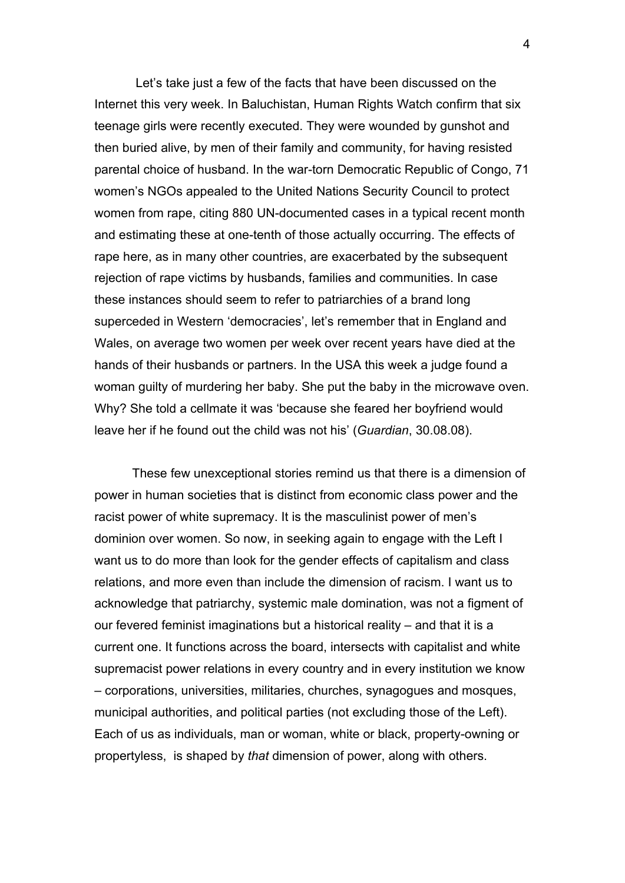Let's take just a few of the facts that have been discussed on the Internet this very week. In Baluchistan, Human Rights Watch confirm that six teenage girls were recently executed. They were wounded by gunshot and then buried alive, by men of their family and community, for having resisted parental choice of husband. In the war-torn Democratic Republic of Congo, 71 women's NGOs appealed to the United Nations Security Council to protect women from rape, citing 880 UN-documented cases in a typical recent month and estimating these at one-tenth of those actually occurring. The effects of rape here, as in many other countries, are exacerbated by the subsequent rejection of rape victims by husbands, families and communities. In case these instances should seem to refer to patriarchies of a brand long superceded in Western 'democracies', let's remember that in England and Wales, on average two women per week over recent years have died at the hands of their husbands or partners. In the USA this week a judge found a woman guilty of murdering her baby. She put the baby in the microwave oven. Why? She told a cellmate it was 'because she feared her boyfriend would leave her if he found out the child was not his' (*Guardian*, 30.08.08).

These few unexceptional stories remind us that there is a dimension of power in human societies that is distinct from economic class power and the racist power of white supremacy. It is the masculinist power of men's dominion over women. So now, in seeking again to engage with the Left I want us to do more than look for the gender effects of capitalism and class relations, and more even than include the dimension of racism. I want us to acknowledge that patriarchy, systemic male domination, was not a figment of our fevered feminist imaginations but a historical reality – and that it is a current one. It functions across the board, intersects with capitalist and white supremacist power relations in every country and in every institution we know – corporations, universities, militaries, churches, synagogues and mosques, municipal authorities, and political parties (not excluding those of the Left). Each of us as individuals, man or woman, white or black, property-owning or propertyless, is shaped by *that* dimension of power, along with others.